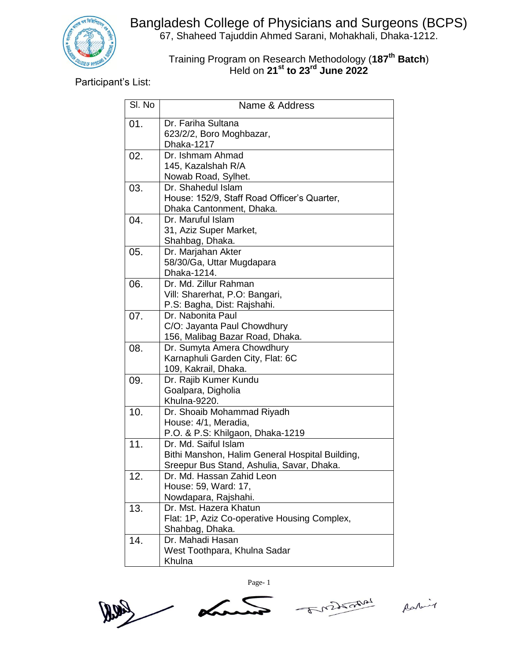

Bangladesh College of Physicians and Surgeons (BCPS) 67, Shaheed Tajuddin Ahmed Sarani, Mohakhali, Dhaka-1212.

## Training Program on Research Methodology (**187 th Batch**) Held on **21st to 23rd June 2022**

Participant's List:

| SI. No | Name & Address                                                                                                       |
|--------|----------------------------------------------------------------------------------------------------------------------|
| 01.    | Dr. Fariha Sultana<br>623/2/2, Boro Moghbazar,<br>Dhaka-1217                                                         |
| 02.    | Dr. Ishmam Ahmad<br>145, Kazalshah R/A<br>Nowab Road, Sylhet.                                                        |
| 03.    | Dr. Shahedul Islam<br>House: 152/9, Staff Road Officer's Quarter,<br>Dhaka Cantonment, Dhaka.                        |
| 04.    | Dr. Maruful Islam<br>31, Aziz Super Market,<br>Shahbag, Dhaka.                                                       |
| 05.    | Dr. Marjahan Akter<br>58/30/Ga, Uttar Mugdapara<br>Dhaka-1214.                                                       |
| 06.    | Dr. Md. Zillur Rahman<br>Vill: Sharerhat, P.O: Bangari,<br>P.S: Bagha, Dist: Rajshahi.                               |
| 07.    | Dr. Nabonita Paul<br>C/O: Jayanta Paul Chowdhury<br>156, Malibag Bazar Road, Dhaka.                                  |
| 08.    | Dr. Sumyta Amera Chowdhury<br>Karnaphuli Garden City, Flat: 6C<br>109, Kakrail, Dhaka.                               |
| 09.    | Dr. Rajib Kumer Kundu<br>Goalpara, Digholia<br>Khulna-9220.                                                          |
| 10.    | Dr. Shoaib Mohammad Riyadh<br>House: 4/1, Meradia,<br>P.O. & P.S: Khilgaon, Dhaka-1219                               |
| 11.    | Dr. Md. Saiful Islam<br>Bithi Manshon, Halim General Hospital Building,<br>Sreepur Bus Stand, Ashulia, Savar, Dhaka. |
| 12.    | Dr. Md. Hassan Zahid Leon<br>House: 59, Ward: 17,<br>Nowdapara, Rajshahi.                                            |
| 13.    | Dr. Mst. Hazera Khatun<br>Flat: 1P, Aziz Co-operative Housing Complex,<br>Shahbag, Dhaka.                            |
| 14.    | Dr. Mahadi Hasan<br>West Toothpara, Khulna Sadar<br>Khulna                                                           |



Page- 1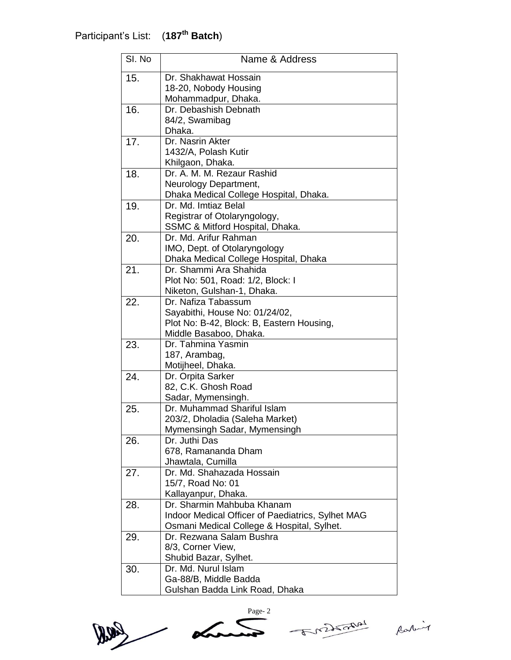| SI. No | Name & Address                                                 |
|--------|----------------------------------------------------------------|
| 15.    | Dr. Shakhawat Hossain                                          |
|        | 18-20, Nobody Housing                                          |
|        | Mohammadpur, Dhaka.                                            |
| 16.    | Dr. Debashish Debnath                                          |
|        | 84/2, Swamibag                                                 |
|        | Dhaka.                                                         |
| 17.    | Dr. Nasrin Akter                                               |
|        | 1432/A, Polash Kutir                                           |
|        | Khilgaon, Dhaka.                                               |
| 18.    | Dr. A. M. M. Rezaur Rashid                                     |
|        | Neurology Department,                                          |
|        | Dhaka Medical College Hospital, Dhaka.<br>Dr. Md. Imtiaz Belal |
| 19.    | Registrar of Otolaryngology,                                   |
|        | SSMC & Mitford Hospital, Dhaka.                                |
| 20.    | Dr. Md. Arifur Rahman                                          |
|        | IMO, Dept. of Otolaryngology                                   |
|        | Dhaka Medical College Hospital, Dhaka                          |
| 21.    | Dr. Shammi Ara Shahida                                         |
|        | Plot No: 501, Road: 1/2, Block: I                              |
|        | Niketon, Gulshan-1, Dhaka.                                     |
| 22.    | Dr. Nafiza Tabassum                                            |
|        | Sayabithi, House No: 01/24/02,                                 |
|        | Plot No: B-42, Block: B, Eastern Housing,                      |
|        | Middle Basaboo, Dhaka.                                         |
| 23.    | Dr. Tahmina Yasmin                                             |
|        | 187, Arambag,                                                  |
|        | Motijheel, Dhaka.                                              |
| 24.    | Dr. Orpita Sarker                                              |
|        | 82, C.K. Ghosh Road                                            |
| 25.    | Sadar, Mymensingh.<br>Dr. Muhammad Shariful Islam              |
|        | 203/2, Dholadia (Saleha Market)                                |
|        | Mymensingh Sadar, Mymensingh                                   |
| 26.    | Dr. Juthi Das                                                  |
|        | 678, Ramananda Dham                                            |
|        | Jhawtala, Cumilla                                              |
| 27.    | Dr. Md. Shahazada Hossain                                      |
|        | 15/7, Road No: 01                                              |
|        | Kallayanpur, Dhaka.                                            |
| 28.    | Dr. Sharmin Mahbuba Khanam                                     |
|        | Indoor Medical Officer of Paediatrics, Sylhet MAG              |
|        | Osmani Medical College & Hospital, Sylhet.                     |
| 29.    | Dr. Rezwana Salam Bushra                                       |
|        | 8/3, Corner View,                                              |
|        | Shubid Bazar, Sylhet.                                          |
| 30.    | Dr. Md. Nurul Islam                                            |
|        | Ga-88/B, Middle Badda                                          |
|        | Gulshan Badda Link Road, Dhaka                                 |





Rabit